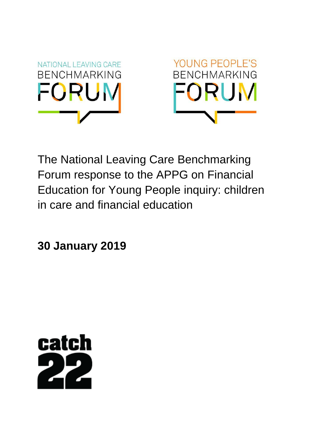



The National Leaving Care Benchmarking Forum response to the APPG on Financial Education for Young People inquiry: children in care and financial education

**30 January 2019**

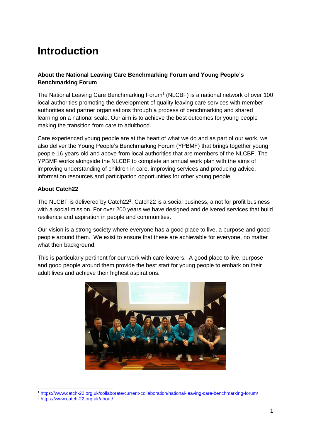# **Introduction**

## **About the National Leaving Care Benchmarking Forum and Young People's Benchmarking Forum**

The National Leaving Care Benchmarking Forum<sup>1</sup> (NLCBF) is a national network of over 100 local authorities promoting the development of quality leaving care services with member authorities and partner organisations through a process of benchmarking and shared learning on a national scale. Our aim is to achieve the best outcomes for young people making the transition from care to adulthood.

Care experienced young people are at the heart of what we do and as part of our work, we also deliver the Young People's Benchmarking Forum (YPBMF) that brings together young people 16-years-old and above from local authorities that are members of the NLCBF. The YPBMF works alongside the NLCBF to complete an annual work plan with the aims of improving understanding of children in care, improving services and producing advice, information resources and participation opportunities for other young people.

#### **About Catch22**

The NLCBF is delivered by Catch22<sup>2</sup>. Catch22 is a social business, a not for profit business with a social mission. For over 200 years we have designed and delivered services that build resilience and aspiration in people and communities.

Our vision is a strong society where everyone has a good place to live, a purpose and good people around them. We exist to ensure that these are achievable for everyone, no matter what their background.

This is particularly pertinent for our work with care leavers. A good place to live, purpose and good people around them provide the best start for young people to embark on their adult lives and achieve their highest aspirations.



<sup>1</sup> <https://www.catch-22.org.uk/collaborate/current-collaboration/national-leaving-care-benchmarking-forum/>

 $\overline{a}$ 

<sup>2</sup> <https://www.catch-22.org.uk/about/>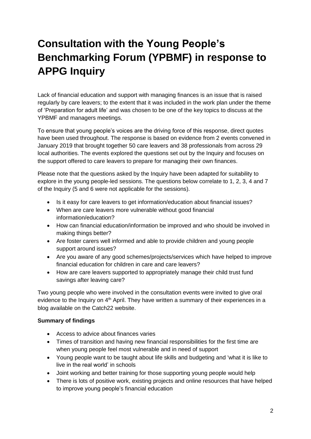# **Consultation with the Young People's Benchmarking Forum (YPBMF) in response to APPG Inquiry**

Lack of financial education and support with managing finances is an issue that is raised regularly by care leavers; to the extent that it was included in the work plan under the theme of 'Preparation for adult life' and was chosen to be one of the key topics to discuss at the YPBMF and managers meetings.

To ensure that young people's voices are the driving force of this response, direct quotes have been used throughout. The response is based on evidence from 2 events convened in January 2019 that brought together 50 care leavers and 38 professionals from across 29 local authorities. The events explored the questions set out by the Inquiry and focuses on the support offered to care leavers to prepare for managing their own finances.

Please note that the questions asked by the Inquiry have been adapted for suitability to explore in the young people-led sessions. The questions below correlate to 1, 2, 3, 4 and 7 of the Inquiry (5 and 6 were not applicable for the sessions).

- Is it easy for care leavers to get information/education about financial issues?
- When are care leavers more vulnerable without good financial information/education?
- How can financial education/information be improved and who should be involved in making things better?
- Are foster carers well informed and able to provide children and young people support around issues?
- Are you aware of any good schemes/projects/services which have helped to improve financial education for children in care and care leavers?
- How are care leavers supported to appropriately manage their child trust fund savings after leaving care?

Two young people who were involved in the consultation events were invited to give oral evidence to the Inquiry on 4<sup>th</sup> April. They have written a summary of their experiences in a blog available on the Catch22 website.

#### **Summary of findings**

- Access to advice about finances varies
- Times of transition and having new financial responsibilities for the first time are when young people feel most vulnerable and in need of support
- Young people want to be taught about life skills and budgeting and 'what it is like to live in the real world' in schools
- Joint working and better training for those supporting young people would help
- There is lots of positive work, existing projects and online resources that have helped to improve young people's financial education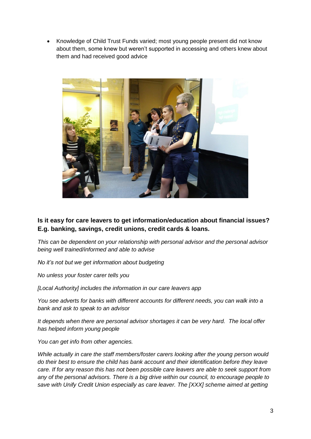Knowledge of Child Trust Funds varied; most young people present did not know about them, some knew but weren't supported in accessing and others knew about them and had received good advice



**Is it easy for care leavers to get information/education about financial issues? E.g. banking, savings, credit unions, credit cards & loans.** 

*This can be dependent on your relationship with personal advisor and the personal advisor being well trained/informed and able to advise*

*No it's not but we get information about budgeting*

*No unless your foster carer tells you*

*[Local Authority] includes the information in our care leavers app*

*You see adverts for banks with different accounts for different needs, you can walk into a bank and ask to speak to an advisor*

*It depends when there are personal advisor shortages it can be very hard. The local offer has helped inform young people*

*You can get info from other agencies.* 

*While actually in care the staff members/foster carers looking after the young person would do their best to ensure the child has bank account and their identification before they leave care. If for any reason this has not been possible care leavers are able to seek support from any of the personal advisors. There is a big drive within our council, to encourage people to save with Unify Credit Union especially as care leaver. The [XXX] scheme aimed at getting*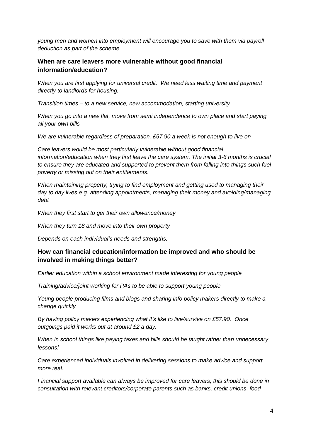*young men and women into employment will encourage you to save with them via payroll deduction as part of the scheme.*

#### **When are care leavers more vulnerable without good financial information/education?**

*When you are first applying for universal credit. We need less waiting time and payment directly to landlords for housing.* 

*Transition times – to a new service, new accommodation, starting university* 

*When you go into a new flat, move from semi independence to own place and start paying all your own bills*

*We are vulnerable regardless of preparation. £57.90 a week is not enough to live on*

*Care leavers would be most particularly vulnerable without good financial information/education when they first leave the care system. The initial 3-6 months is crucial to ensure they are educated and supported to prevent them from falling into things such fuel poverty or missing out on their entitlements.* 

*When maintaining property, trying to find employment and getting used to managing their day to day lives e.g. attending appointments, managing their money and avoiding/managing debt*

*When they first start to get their own allowance/money*

*When they turn 18 and move into their own property*

*Depends on each individual's needs and strengths.* 

#### **How can financial education/information be improved and who should be involved in making things better?**

*Earlier education within a school environment made interesting for young people*

*Training/advice/joint working for PAs to be able to support young people*

*Young people producing films and blogs and sharing info policy makers directly to make a change quickly*

*By having policy makers experiencing what it's like to live/survive on £57.90. Once outgoings paid it works out at around £2 a day.* 

*When in school things like paying taxes and bills should be taught rather than unnecessary lessons!*

*Care experienced individuals involved in delivering sessions to make advice and support more real.*

*Financial support available can always be improved for care leavers; this should be done in consultation with relevant creditors/corporate parents such as banks, credit unions, food*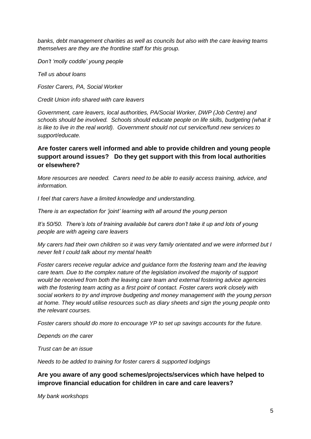*banks, debt management charities as well as councils but also with the care leaving teams themselves are they are the frontline staff for this group.*

*Don't 'molly coddle' young people*

*Tell us about loans*

*Foster Carers, PA, Social Worker*

*Credit Union info shared with care leavers*

*Government, care leavers, local authorities, PA/Social Worker, DWP (Job Centre) and schools should be involved. Schools should educate people on life skills, budgeting (what it is like to live in the real world). Government should not cut service/fund new services to support/educate.*

## **Are foster carers well informed and able to provide children and young people support around issues? Do they get support with this from local authorities or elsewhere?**

*More resources are needed. Carers need to be able to easily access training, advice, and information.*

*I feel that carers have a limited knowledge and understanding.*

*There is an expectation for 'joint' learning with all around the young person*

*It's 50/50. There's lots of training available but carers don't take it up and lots of young people are with ageing care leavers*

*My carers had their own children so it was very family orientated and we were informed but I never felt I could talk about my mental health*

*Foster carers receive regular advice and guidance form the fostering team and the leaving care team. Due to the complex nature of the legislation involved the majority of support would be received from both the leaving care team and external fostering advice agencies with the fostering team acting as a first point of contact. Foster carers work closely with social workers to try and improve budgeting and money management with the young person at home. They would utilise resources such as diary sheets and sign the young people onto the relevant courses.*

*Foster carers should do more to encourage YP to set up savings accounts for the future.*

*Depends on the carer*

*Trust can be an issue*

*Needs to be added to training for foster carers & supported lodgings*

**Are you aware of any good schemes/projects/services which have helped to improve financial education for children in care and care leavers?**

*My bank workshops*